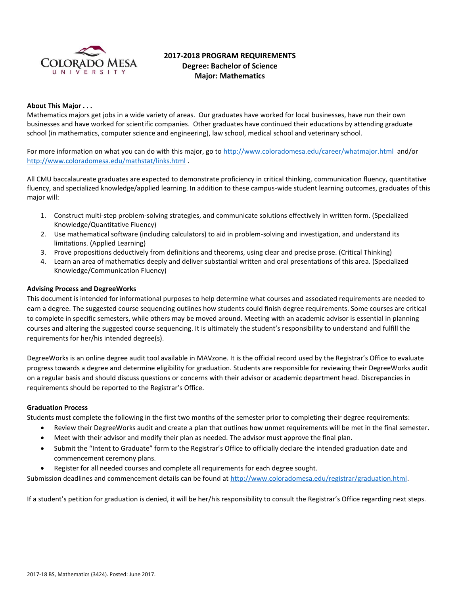

# **2017-2018 PROGRAM REQUIREMENTS Degree: Bachelor of Science Major: Mathematics**

#### **About This Major . . .**

Mathematics majors get jobs in a wide variety of areas. Our graduates have worked for local businesses, have run their own businesses and have worked for scientific companies. Other graduates have continued their educations by attending graduate school (in mathematics, computer science and engineering), law school, medical school and veterinary school.

For more information on what you can do with this major, go to<http://www.coloradomesa.edu/career/whatmajor.html>and/or <http://www.coloradomesa.edu/mathstat/links.html> .

All CMU baccalaureate graduates are expected to demonstrate proficiency in critical thinking, communication fluency, quantitative fluency, and specialized knowledge/applied learning. In addition to these campus-wide student learning outcomes, graduates of this major will:

- 1. Construct multi-step problem-solving strategies, and communicate solutions effectively in written form. (Specialized Knowledge/Quantitative Fluency)
- 2. Use mathematical software (including calculators) to aid in problem-solving and investigation, and understand its limitations. (Applied Learning)
- 3. Prove propositions deductively from definitions and theorems, using clear and precise prose. (Critical Thinking)
- 4. Learn an area of mathematics deeply and deliver substantial written and oral presentations of this area. (Specialized Knowledge/Communication Fluency)

#### **Advising Process and DegreeWorks**

This document is intended for informational purposes to help determine what courses and associated requirements are needed to earn a degree. The suggested course sequencing outlines how students could finish degree requirements. Some courses are critical to complete in specific semesters, while others may be moved around. Meeting with an academic advisor is essential in planning courses and altering the suggested course sequencing. It is ultimately the student's responsibility to understand and fulfill the requirements for her/his intended degree(s).

DegreeWorks is an online degree audit tool available in MAVzone. It is the official record used by the Registrar's Office to evaluate progress towards a degree and determine eligibility for graduation. Students are responsible for reviewing their DegreeWorks audit on a regular basis and should discuss questions or concerns with their advisor or academic department head. Discrepancies in requirements should be reported to the Registrar's Office.

#### **Graduation Process**

Students must complete the following in the first two months of the semester prior to completing their degree requirements:

- Review their DegreeWorks audit and create a plan that outlines how unmet requirements will be met in the final semester.
- Meet with their advisor and modify their plan as needed. The advisor must approve the final plan.
- Submit the "Intent to Graduate" form to the Registrar's Office to officially declare the intended graduation date and commencement ceremony plans.
- Register for all needed courses and complete all requirements for each degree sought.

Submission deadlines and commencement details can be found at [http://www.coloradomesa.edu/registrar/graduation.html.](http://www.coloradomesa.edu/registrar/graduation.html)

If a student's petition for graduation is denied, it will be her/his responsibility to consult the Registrar's Office regarding next steps.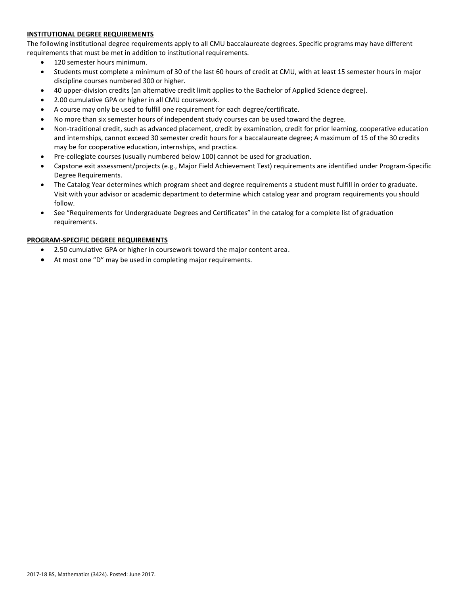# **INSTITUTIONAL DEGREE REQUIREMENTS**

The following institutional degree requirements apply to all CMU baccalaureate degrees. Specific programs may have different requirements that must be met in addition to institutional requirements.

- 120 semester hours minimum.
- Students must complete a minimum of 30 of the last 60 hours of credit at CMU, with at least 15 semester hours in major discipline courses numbered 300 or higher.
- 40 upper-division credits (an alternative credit limit applies to the Bachelor of Applied Science degree).
- 2.00 cumulative GPA or higher in all CMU coursework.
- A course may only be used to fulfill one requirement for each degree/certificate.
- No more than six semester hours of independent study courses can be used toward the degree.
- Non-traditional credit, such as advanced placement, credit by examination, credit for prior learning, cooperative education and internships, cannot exceed 30 semester credit hours for a baccalaureate degree; A maximum of 15 of the 30 credits may be for cooperative education, internships, and practica.
- Pre-collegiate courses (usually numbered below 100) cannot be used for graduation.
- Capstone exit assessment/projects (e.g., Major Field Achievement Test) requirements are identified under Program-Specific Degree Requirements.
- The Catalog Year determines which program sheet and degree requirements a student must fulfill in order to graduate. Visit with your advisor or academic department to determine which catalog year and program requirements you should follow.
- See "Requirements for Undergraduate Degrees and Certificates" in the catalog for a complete list of graduation requirements.

# **PROGRAM-SPECIFIC DEGREE REQUIREMENTS**

- 2.50 cumulative GPA or higher in coursework toward the major content area.
- At most one "D" may be used in completing major requirements.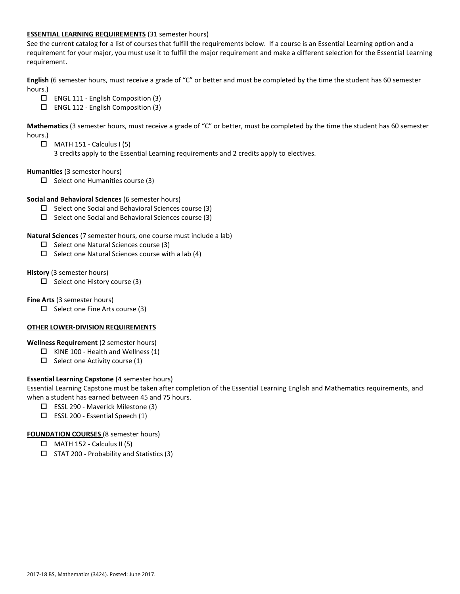#### **ESSENTIAL LEARNING REQUIREMENTS** (31 semester hours)

See the current catalog for a list of courses that fulfill the requirements below. If a course is an Essential Learning option and a requirement for your major, you must use it to fulfill the major requirement and make a different selection for the Essential Learning requirement.

**English** (6 semester hours, must receive a grade of "C" or better and must be completed by the time the student has 60 semester hours.)

- ENGL 111 English Composition (3)
- ENGL 112 English Composition (3)

**Mathematics** (3 semester hours, must receive a grade of "C" or better, must be completed by the time the student has 60 semester hours.)

- $\Box$  MATH 151 Calculus I (5)
	- 3 credits apply to the Essential Learning requirements and 2 credits apply to electives.

**Humanities** (3 semester hours)

 $\square$  Select one Humanities course (3)

**Social and Behavioral Sciences** (6 semester hours)

- $\Box$  Select one Social and Behavioral Sciences course (3)
- $\Box$  Select one Social and Behavioral Sciences course (3)

#### **Natural Sciences** (7 semester hours, one course must include a lab)

- $\Box$  Select one Natural Sciences course (3)
- $\Box$  Select one Natural Sciences course with a lab (4)

**History** (3 semester hours)

 $\Box$  Select one History course (3)

**Fine Arts** (3 semester hours)

 $\Box$  Select one Fine Arts course (3)

# **OTHER LOWER-DIVISION REQUIREMENTS**

**Wellness Requirement** (2 semester hours)

- $\Box$  KINE 100 Health and Wellness (1)
- $\Box$  Select one Activity course (1)

# **Essential Learning Capstone** (4 semester hours)

Essential Learning Capstone must be taken after completion of the Essential Learning English and Mathematics requirements, and when a student has earned between 45 and 75 hours.

- ESSL 290 Maverick Milestone (3)
- $\square$  ESSL 200 Essential Speech (1)

#### **FOUNDATION COURSES** (8 semester hours)

- $\Box$  MATH 152 Calculus II (5)
- $\square$  STAT 200 Probability and Statistics (3)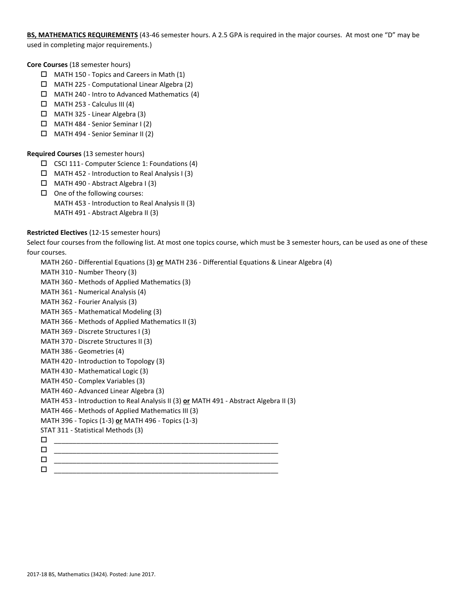**BS, MATHEMATICS REQUIREMENTS** (43-46 semester hours. A 2.5 GPA is required in the major courses. At most one "D" may be used in completing major requirements.)

**Core Courses** (18 semester hours)

- MATH 150 Topics and Careers in Math (1)
- MATH 225 Computational Linear Algebra (2)
- MATH 240 Intro to Advanced Mathematics (4)
- $\Box$  MATH 253 Calculus III (4)
- MATH 325 Linear Algebra (3)
- MATH 484 Senior Seminar I (2)
- MATH 494 Senior Seminar II (2)

# **Required Courses** (13 semester hours)

- $\square$  CSCI 111 Computer Science 1: Foundations (4)
- MATH 452 Introduction to Real Analysis I (3)
- $\Box$  MATH 490 Abstract Algebra I (3)
- $\Box$  One of the following courses:
	- MATH 453 Introduction to Real Analysis II (3) MATH 491 - Abstract Algebra II (3)

# **Restricted Electives** (12-15 semester hours)

Select four courses from the following list. At most one topics course, which must be 3 semester hours, can be used as one of these four courses.

- MATH 260 Differential Equations (3) **or** MATH 236 Differential Equations & Linear Algebra (4)
- MATH 310 Number Theory (3)
- MATH 360 Methods of Applied Mathematics (3)
- MATH 361 Numerical Analysis (4)
- MATH 362 Fourier Analysis (3)
- MATH 365 Mathematical Modeling (3)
- MATH 366 Methods of Applied Mathematics II (3)
- MATH 369 Discrete Structures I (3)
- MATH 370 Discrete Structures II (3)
- MATH 386 Geometries (4)
- MATH 420 Introduction to Topology (3)
- MATH 430 Mathematical Logic (3)
- MATH 450 Complex Variables (3)
- MATH 460 Advanced Linear Algebra (3)
- MATH 453 Introduction to Real Analysis II (3) **or** MATH 491 Abstract Algebra II (3)
- MATH 466 Methods of Applied Mathematics III (3)
- MATH 396 Topics (1-3) **or** MATH 496 Topics (1-3)
- STAT 311 Statistical Methods (3)
- \_\_\_\_\_\_\_\_\_\_\_\_\_\_\_\_\_\_\_\_\_\_\_\_\_\_\_\_\_\_\_\_\_\_\_\_\_\_\_\_\_\_\_\_\_\_\_\_\_\_\_\_\_\_\_\_\_\_\_\_
- $\Box$  , and the contract of the contract of the contract of the contract of the contract of the contract of the contract of the contract of the contract of the contract of the contract of the contract of the contract of th
- \_\_\_\_\_\_\_\_\_\_\_\_\_\_\_\_\_\_\_\_\_\_\_\_\_\_\_\_\_\_\_\_\_\_\_\_\_\_\_\_\_\_\_\_\_\_\_\_\_\_\_\_\_\_\_\_\_\_\_\_
- $\Box$   $\underline{\hspace{1cm}}$   $\underline{\hspace{1cm}}$   $\underline{\hspace{1cm}}$   $\underline{\hspace{1cm}}$   $\overline{\hspace{1cm}}$   $\overline{\hspace{1cm}}$   $\overline{\hspace{1cm}}$   $\overline{\hspace{1cm}}$   $\overline{\hspace{1cm}}$   $\overline{\hspace{1cm}}$   $\overline{\hspace{1cm}}$   $\overline{\hspace{1cm}}$   $\overline{\hspace{1cm}}$   $\overline{\hspace{1cm}}$   $\overline{\hspace{1cm}}$   $\overline{\hspace{1cm}}$   $\overline{\hspace{1$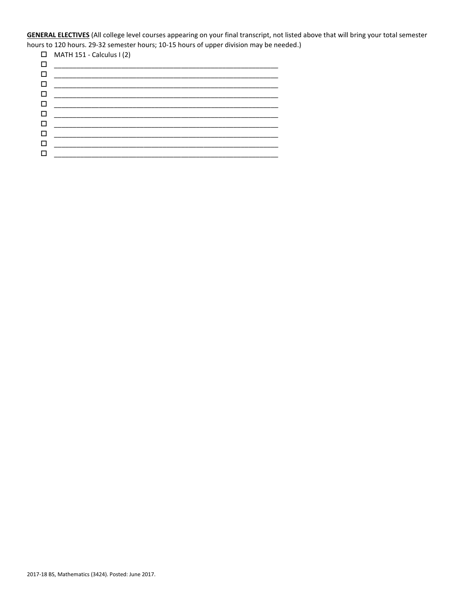**GENERAL ELECTIVES** (All college level courses appearing on your final transcript, not listed above that will bring your total semester hours to 120 hours. 29-32 semester hours; 10-15 hours of upper division may be needed.)

|   | $\Box$ MATH 151 - Calculus I (2) |
|---|----------------------------------|
| □ |                                  |
| □ |                                  |
| □ |                                  |
| □ |                                  |
| □ |                                  |
| □ |                                  |
| П |                                  |
| □ |                                  |
| П |                                  |
|   |                                  |
|   |                                  |